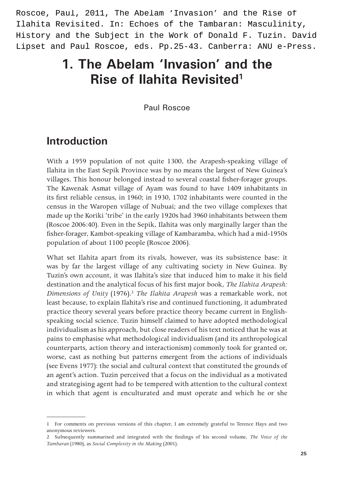Ilahita Revisited. In: Echoes of the Tambaran: Masculinity, History and the Subject in the Work of Donald F. Tuzin. David Lipset and Paul Roscoe, eds. Pp.25-43. Canberra: ANU e-Press.

# **1. The Abelam 'Invasion' and the Rise of Ilahita Revisited1**

### Paul Roscoe

### **Introduction**

With a 1959 population of not quite 1300, the Arapesh-speaking village of Ilahita in the East Sepik Province was by no means the largest of New Guinea's villages. This honour belonged instead to several coastal fisher-forager groups. The Kawenak Asmat village of Ayam was found to have 1409 inhabitants in its first reliable census, in 1960; in 1930, 1702 inhabitants were counted in the census in the Waropen village of Nubuai; and the two village complexes that made up the Koriki 'tribe' in the early 1920s had 3960 inhabitants between them (Roscoe 2006:40). Even in the Sepik, Ilahita was only marginally larger than the fisher-forager, Kambot-speaking village of Kambaramba, which had a mid-1950s population of about 1100 people (Roscoe 2006).

What set Ilahita apart from its rivals, however, was its subsistence base: it was by far the largest village of any cultivating society in New Guinea. By Tuzin's own account, it was Ilahita's size that induced him to make it his field destination and the analytical focus of his first major book, *The Ilahita Arapesh: Dimensions of Unity* (1976).2  *The Ilahita Arapesh* was a remarkable work, not least because, to explain Ilahita's rise and continued functioning, it adumbrated practice theory several years before practice theory became current in Englishspeaking social science. Tuzin himself claimed to have adopted methodological individualism as his approach, but close readers of his text noticed that he was at pains to emphasise what methodological individualism (and its anthropological counterparts, action theory and interactionism) commonly took for granted or, worse, cast as nothing but patterns emergent from the actions of individuals (see Evens 1977): the social and cultural context that constituted the grounds of an agent's action. Tuzin perceived that a focus on the individual as a motivated and strategising agent had to be tempered with attention to the cultural context in which that agent is enculturated and must operate and which he or she **Factors and the Society of Abelian Tarting in The Abelian of the Rise of Election and the Society and the Subject in the Work of Donald P. Tuzain. Dispert in the Making Making in the Making Society in the Making Society i** 

<sup>1</sup> For comments on previous versions of this chapter, I am extremely grateful to Terence Hays and two anonymous reviewers.

<sup>2</sup> Subsequently summarised and integrated with the findings of his second volume, *The Voice of the*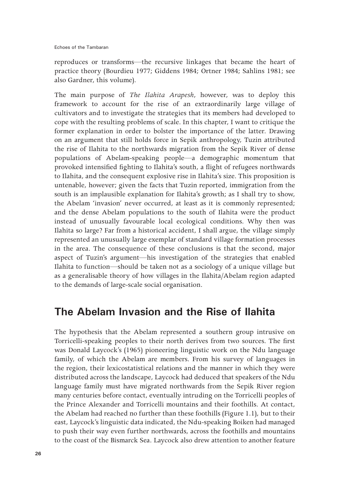Echoes of the Tambaran

reproduces or transforms—the recursive linkages that became the heart of practice theory (Bourdieu 1977; Giddens 1984; Ortner 1984; Sahlins 1981; see also Gardner, this volume).

The main purpose of *The Ilahita Arapesh*, however, was to deploy this framework to account for the rise of an extraordinarily large village of cultivators and to investigate the strategies that its members had developed to cope with the resulting problems of scale. In this chapter, I want to critique the former explanation in order to bolster the importance of the latter. Drawing on an argument that still holds force in Sepik anthropology, Tuzin attributed the rise of Ilahita to the northwards migration from the Sepik River of dense populations of Abelam-speaking people—a demographic momentum that provoked intensified fighting to Ilahita's south, a flight of refugees northwards to Ilahita, and the consequent explosive rise in Ilahita's size. This proposition is untenable, however; given the facts that Tuzin reported, immigration from the south is an implausible explanation for Ilahita's growth; as I shall try to show, the Abelam 'invasion' never occurred, at least as it is commonly represented; and the dense Abelam populations to the south of Ilahita were the product instead of unusually favourable local ecological conditions. Why then was Ilahita so large? Far from a historical accident, I shall argue, the village simply represented an unusually large exemplar of standard village formation processes in the area. The consequence of these conclusions is that the second, major aspect of Tuzin's argument—his investigation of the strategies that enabled Ilahita to function—should be taken not as a sociology of a unique village but as a generalisable theory of how villages in the Ilahita/Abelam region adapted to the demands of large-scale social organisation.

### **The Abelam Invasion and the Rise of Ilahita**

The hypothesis that the Abelam represented a southern group intrusive on Torricelli-speaking peoples to their north derives from two sources. The first was Donald Laycock's (1965) pioneering linguistic work on the Ndu language family, of which the Abelam are members. From his survey of languages in the region, their lexicostatistical relations and the manner in which they were distributed across the landscape, Laycock had deduced that speakers of the Ndu language family must have migrated northwards from the Sepik River region many centuries before contact, eventually intruding on the Torricelli peoples of the Prince Alexander and Torricelli mountains and their foothills. At contact, the Abelam had reached no further than these foothills (Figure 1.1), but to their east, Laycock's linguistic data indicated, the Ndu-speaking Boiken had managed to push their way even further northwards, across the foothills and mountains to the coast of the Bismarck Sea. Laycock also drew attention to another feature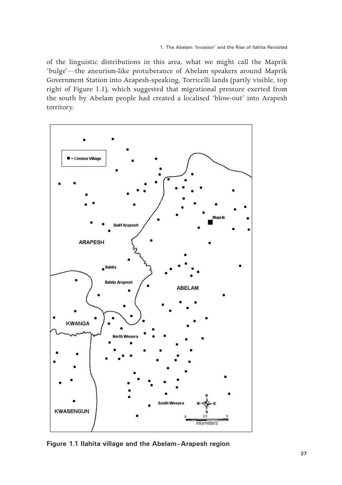of the linguistic distributions in this area, what we might call the Maprik 'bulge'—the aneurism-like protuberance of Abelam speakers around Maprik Government Station into Arapesh-speaking, Torricelli lands (partly visible, top right of Figure 1.1), which suggested that migrational pressure exerted from the south by Abelam people had created a localised 'blow-out' into Arapesh territory.



**Figure 1.1 Ilahita village and the Abelam–Arapesh region**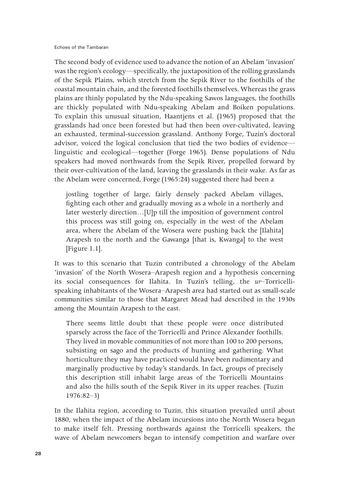Echoes of the Tambaran

The second body of evidence used to advance the notion of an Abelam 'invasion' was the region's ecology—specifically, the juxtaposition of the rolling grasslands of the Sepik Plains, which stretch from the Sepik River to the foothills of the coastal mountain chain, and the forested foothills themselves. Whereas the grass plains are thinly populated by the Ndu-speaking Sawos languages, the foothills are thickly populated with Ndu-speaking Abelam and Boiken populations. To explain this unusual situation, Haantjens et al. (1965) proposed that the grasslands had once been forested but had then been over-cultivated, leaving an exhausted, terminal-succession grassland. Anthony Forge, Tuzin's doctoral advisor, voiced the logical conclusion that tied the two bodies of evidence linguistic and ecological—together (Forge 1965). Dense populations of Ndu speakers had moved northwards from the Sepik River, propelled forward by their over-cultivation of the land, leaving the grasslands in their wake. As far as the Abelam were concerned, Forge (1965:24) suggested there had been a

jostling together of large, fairly densely packed Abelam villages, fighting each other and gradually moving as a whole in a northerly and later westerly direction…[U]p till the imposition of government control this process was still going on, especially in the west of the Abelam area, where the Abelam of the Wosera were pushing back the [Ilahita] Arapesh to the north and the Gawanga [that is, Kwanga] to the west [Figure 1.1].

It was to this scenario that Tuzin contributed a chronology of the Abelam 'invasion' of the North Wosera–Arapesh region and a hypothesis concerning its social consequences for Ilahita. In Tuzin's telling, the *ur*–Torricellispeaking inhabitants of the Wosera–Arapesh area had started out as small-scale communities similar to those that Margaret Mead had described in the 1930s among the Mountain Arapesh to the east.

There seems little doubt that these people were once distributed sparsely across the face of the Torricelli and Prince Alexander foothills. They lived in movable communities of not more than 100 to 200 persons, subsisting on sago and the products of hunting and gathering. What horticulture they may have practiced would have been rudimentary and marginally productive by today's standards. In fact, groups of precisely this description still inhabit large areas of the Torricelli Mountains and also the hills south of the Sepik River in its upper reaches. (Tuzin 1976:82–3)

In the Ilahita region, according to Tuzin, this situation prevailed until about 1880, when the impact of the Abelam incursions into the North Wosera began to make itself felt. Pressing northwards against the Torricelli speakers, the wave of Abelam newcomers began to intensify competition and warfare over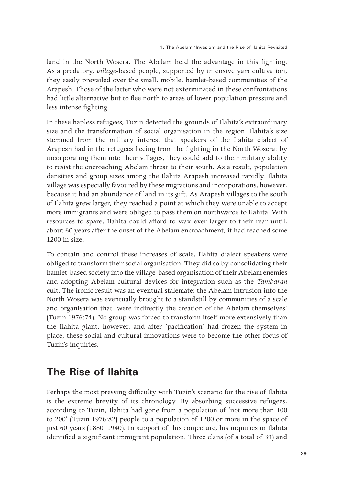land in the North Wosera. The Abelam held the advantage in this fighting. As a predatory, *village*-based people, supported by intensive yam cultivation, they easily prevailed over the small, mobile, hamlet-based communities of the Arapesh. Those of the latter who were not exterminated in these confrontations had little alternative but to flee north to areas of lower population pressure and less intense fighting.

In these hapless refugees, Tuzin detected the grounds of Ilahita's extraordinary size and the transformation of social organisation in the region. Ilahita's size stemmed from the military interest that speakers of the Ilahita dialect of Arapesh had in the refugees fleeing from the fighting in the North Wosera: by incorporating them into their villages, they could add to their military ability to resist the encroaching Abelam threat to their south. As a result, population densities and group sizes among the Ilahita Arapesh increased rapidly. Ilahita village was especially favoured by these migrations and incorporations, however, because it had an abundance of land in its gift. As Arapesh villages to the south of Ilahita grew larger, they reached a point at which they were unable to accept more immigrants and were obliged to pass them on northwards to Ilahita. With resources to spare, Ilahita could afford to wax ever larger to their rear until, about 60 years after the onset of the Abelam encroachment, it had reached some 1200 in size.

To contain and control these increases of scale, Ilahita dialect speakers were obliged to transform their social organisation. They did so by consolidating their hamlet-based society into the village-based organisation of their Abelam enemies and adopting Abelam cultural devices for integration such as the *Tambaran*  cult. The ironic result was an eventual stalemate: the Abelam intrusion into the North Wosera was eventually brought to a standstill by communities of a scale and organisation that 'were indirectly the creation of the Abelam themselves' (Tuzin 1976:74). No group was forced to transform itself more extensively than the Ilahita giant, however, and after 'pacification' had frozen the system in place, these social and cultural innovations were to become the other focus of Tuzin's inquiries.

## **The Rise of Ilahita**

Perhaps the most pressing difficulty with Tuzin's scenario for the rise of Ilahita is the extreme brevity of its chronology. By absorbing successive refugees, according to Tuzin, Ilahita had gone from a population of 'not more than 100 to 200' (Tuzin 1976:82) people to a population of 1200 or more in the space of just 60 years (1880–1940). In support of this conjecture, his inquiries in Ilahita identified a significant immigrant population. Three clans (of a total of 39) and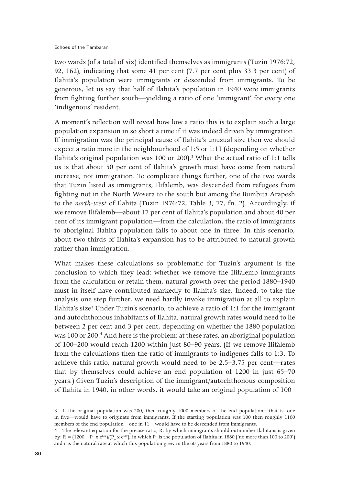two wards (of a total of six) identified themselves as immigrants (Tuzin 1976:72, 92, 162), indicating that some 41 per cent (7.7 per cent plus 33.3 per cent) of Ilahita's population were immigrants or descended from immigrants. To be generous, let us say that half of Ilahita's population in 1940 were immigrants from fighting further south—yielding a ratio of one 'immigrant' for every one 'indigenous' resident.

A moment's reflection will reveal how low a ratio this is to explain such a large population expansion in so short a time if it was indeed driven by immigration. If immigration was the principal cause of Ilahita's unusual size then we should expect a ratio more in the neighbourhood of 1:5 or 1:11 (depending on whether Ilahita's original population was 100 or 200).<sup>3</sup> What the actual ratio of 1:1 tells us is that about 50 per cent of Ilahita's growth must have come from natural increase, not immigration. To complicate things further, one of the two wards that Tuzin listed as immigrants, Ilifalemb, was descended from refugees from fighting not in the North Wosera to the south but among the Bumbita Arapesh to the *north-west* of Ilahita (Tuzin 1976:72, Table 3, 77, fn. 2). Accordingly, if we remove Ilifalemb—about 17 per cent of Ilahita's population and about 40 per cent of its immigrant population—from the calculation, the ratio of immigrants to aboriginal Ilahita population falls to about one in three. In this scenario, about two-thirds of Ilahita's expansion has to be attributed to natural growth rather than immigration.

What makes these calculations so problematic for Tuzin's argument is the conclusion to which they lead: whether we remove the Ilifalemb immigrants from the calculation or retain them, natural growth over the period 1880–1940 must in itself have contributed markedly to Ilahita's size. Indeed, to take the analysis one step further, we need hardly invoke immigration at all to explain Ilahita's size! Under Tuzin's scenario, to achieve a ratio of 1:1 for the immigrant and autochthonous inhabitants of Ilahita, natural growth rates would need to lie between 2 per cent and 3 per cent, depending on whether the 1880 population was 100 or 200.<sup>4</sup> And here is the problem: at these rates, an aboriginal population of 100–200 would reach 1200 within just 80–90 years. (If we remove Ilifalemb from the calculations then the ratio of immigrants to indigenes falls to 1:3. To achieve this ratio, natural growth would need to be 2.5–3.75 per cent—rates that by themselves could achieve an end population of 1200 in just 65–70 years.) Given Tuzin's description of the immigrant/autochthonous composition of Ilahita in 1940, in other words, it would take an original population of 100–

<sup>3</sup> If the original population was 200, then roughly 1000 members of the end population—that is, one in five—would have to originate from immigrants. If the starting population was 100 then roughly 1100 members of the end population—one in 11—would have to be descended from immigrants.

<sup>4</sup> The relevant equation for the precise ratio, R, by which immigrants should outnumber Ilahitans is given by: R = (1200 – P<sub>o</sub> x e<sup>60r</sup>)/(P<sub>o</sub> x e<sup>60r</sup>), in which P<sub>o</sub> is the population of Ilahita in 1880 ('no more than 100 to 200') and r is the natural rate at which this population grew in the 60 years from 1880 to 1940.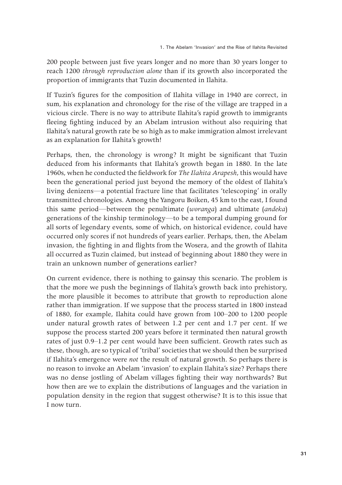200 people between just five years longer and no more than 30 years longer to reach 1200 *through reproduction alone* than if its growth also incorporated the proportion of immigrants that Tuzin documented in Ilahita.

If Tuzin's figures for the composition of Ilahita village in 1940 are correct, in sum, his explanation and chronology for the rise of the village are trapped in a vicious circle. There is no way to attribute Ilahita's rapid growth to immigrants fleeing fighting induced by an Abelam intrusion without also requiring that Ilahita's natural growth rate be so high as to make immigration almost irrelevant as an explanation for Ilahita's growth!

Perhaps, then, the chronology is wrong? It might be significant that Tuzin deduced from his informants that Ilahita's growth began in 1880. In the late 1960s, when he conducted the fieldwork for *The Ilahita Arapesh*, this would have been the generational period just beyond the memory of the oldest of Ilahita's living denizens—a potential fracture line that facilitates 'telescoping' in orally transmitted chronologies. Among the Yangoru Boiken, 45 km to the east, I found this same period—between the penultimate (*woranga*) and ultimate (*andeka*) generations of the kinship terminology—to be a temporal dumping ground for all sorts of legendary events, some of which, on historical evidence, could have occurred only scores if not hundreds of years earlier. Perhaps, then, the Abelam invasion, the fighting in and flights from the Wosera, and the growth of Ilahita all occurred as Tuzin claimed, but instead of beginning about 1880 they were in train an unknown number of generations earlier?

On current evidence, there is nothing to gainsay this scenario. The problem is that the more we push the beginnings of Ilahita's growth back into prehistory, the more plausible it becomes to attribute that growth to reproduction alone rather than immigration. If we suppose that the process started in 1800 instead of 1880, for example, Ilahita could have grown from 100–200 to 1200 people under natural growth rates of between 1.2 per cent and 1.7 per cent. If we suppose the process started 200 years before it terminated then natural growth rates of just 0.9–1.2 per cent would have been sufficient. Growth rates such as these, though, are so typical of 'tribal' societies that we should then be surprised if Ilahita's emergence were *not* the result of natural growth. So perhaps there is no reason to invoke an Abelam 'invasion' to explain Ilahita's size? Perhaps there was no dense jostling of Abelam villages fighting their way northwards? But how then are we to explain the distributions of languages and the variation in population density in the region that suggest otherwise? It is to this issue that I now turn.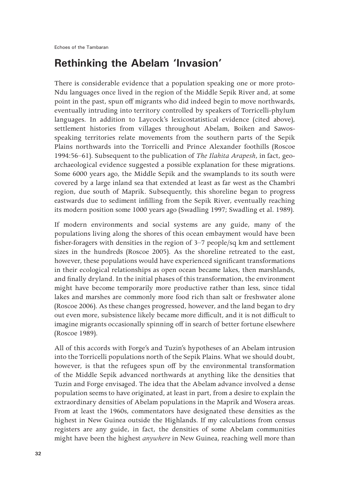## **Rethinking the Abelam 'Invasion'**

There is considerable evidence that a population speaking one or more proto-Ndu languages once lived in the region of the Middle Sepik River and, at some point in the past, spun off migrants who did indeed begin to move northwards, eventually intruding into territory controlled by speakers of Torricelli-phylum languages. In addition to Laycock's lexicostatistical evidence (cited above), settlement histories from villages throughout Abelam, Boiken and Sawosspeaking territories relate movements from the southern parts of the Sepik Plains northwards into the Torricelli and Prince Alexander foothills (Roscoe 1994:56–61). Subsequent to the publication of *The Ilahita Arapesh*, in fact, geoarchaeological evidence suggested a possible explanation for these migrations. Some 6000 years ago, the Middle Sepik and the swamplands to its south were covered by a large inland sea that extended at least as far west as the Chambri region, due south of Maprik. Subsequently, this shoreline began to progress eastwards due to sediment infilling from the Sepik River, eventually reaching its modern position some 1000 years ago (Swadling 1997; Swadling et al. 1989).

If modern environments and social systems are any guide, many of the populations living along the shores of this ocean embayment would have been fisher-foragers with densities in the region of 3–7 people/sq km and settlement sizes in the hundreds (Roscoe 2005). As the shoreline retreated to the east, however, these populations would have experienced significant transformations in their ecological relationships as open ocean became lakes, then marshlands, and finally dryland. In the initial phases of this transformation, the environment might have become temporarily more productive rather than less, since tidal lakes and marshes are commonly more food rich than salt or freshwater alone (Roscoe 2006). As these changes progressed, however, and the land began to dry out even more, subsistence likely became more difficult, and it is not difficult to imagine migrants occasionally spinning off in search of better fortune elsewhere (Roscoe 1989).

All of this accords with Forge's and Tuzin's hypotheses of an Abelam intrusion into the Torricelli populations north of the Sepik Plains. What we should doubt, however, is that the refugees spun off by the environmental transformation of the Middle Sepik advanced northwards at anything like the densities that Tuzin and Forge envisaged. The idea that the Abelam advance involved a dense population seems to have originated, at least in part, from a desire to explain the extraordinary densities of Abelam populations in the Maprik and Wosera areas. From at least the 1960s, commentators have designated these densities as the highest in New Guinea outside the Highlands. If my calculations from census registers are any guide, in fact, the densities of some Abelam communities might have been the highest *anywhere* in New Guinea, reaching well more than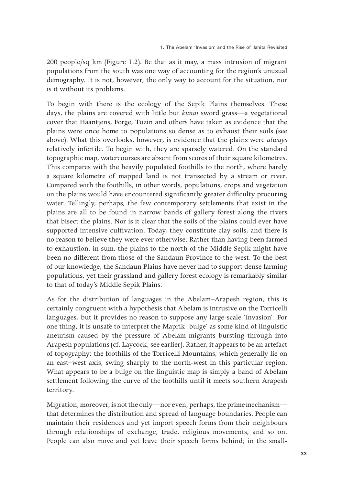200 people/sq km (Figure 1.2). Be that as it may, a mass intrusion of migrant populations from the south was one way of accounting for the region's unusual demography. It is not, however, the only way to account for the situation, nor is it without its problems.

To begin with there is the ecology of the Sepik Plains themselves. These days, the plains are covered with little but *kunai* sword grass—a vegetational cover that Haantjens, Forge, Tuzin and others have taken as evidence that the plains were once home to populations so dense as to exhaust their soils (see above). What this overlooks, however, is evidence that the plains were *always* relatively infertile. To begin with, they are sparsely watered. On the standard topographic map, watercourses are absent from scores of their square kilometres. This compares with the heavily populated foothills to the north, where barely a square kilometre of mapped land is not transected by a stream or river. Compared with the foothills, in other words, populations, crops and vegetation on the plains would have encountered significantly greater difficulty procuring water. Tellingly, perhaps, the few contemporary settlements that exist in the plains are all to be found in narrow bands of gallery forest along the rivers that bisect the plains. Nor is it clear that the soils of the plains could ever have supported intensive cultivation. Today, they constitute clay soils, and there is no reason to believe they were ever otherwise. Rather than having been farmed to exhaustion, in sum, the plains to the north of the Middle Sepik might have been no different from those of the Sandaun Province to the west. To the best of our knowledge, the Sandaun Plains have never had to support dense farming populations, yet their grassland and gallery forest ecology is remarkably similar to that of today's Middle Sepik Plains.

As for the distribution of languages in the Abelam–Arapesh region, this is certainly congruent with a hypothesis that Abelam is intrusive on the Torricelli languages, but it provides no reason to suppose any large-scale 'invasion'. For one thing, it is unsafe to interpret the Maprik 'bulge' as some kind of linguistic aneurism caused by the pressure of Abelam migrants bursting through into Arapesh populations (cf. Laycock, see earlier). Rather, it appears to be an artefact of topography: the foothills of the Torricelli Mountains, which generally lie on an east–west axis, swing sharply to the north-west in this particular region. What appears to be a bulge on the linguistic map is simply a band of Abelam settlement following the curve of the foothills until it meets southern Arapesh territory.

Migration, moreover, is not the only—nor even, perhaps, the prime mechanism that determines the distribution and spread of language boundaries. People can maintain their residences and yet import speech forms from their neighbours through relationships of exchange, trade, religious movements, and so on. People can also move and yet leave their speech forms behind; in the small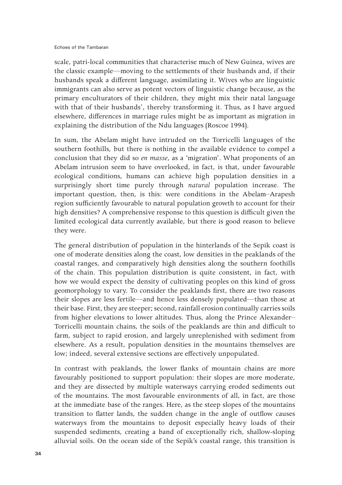scale, patri-local communities that characterise much of New Guinea, wives are the classic example—moving to the settlements of their husbands and, if their husbands speak a different language, assimilating it. Wives who are linguistic immigrants can also serve as potent vectors of linguistic change because, as the primary enculturators of their children, they might mix their natal language with that of their husbands', thereby transforming it. Thus, as I have argued elsewhere, differences in marriage rules might be as important as migration in explaining the distribution of the Ndu languages (Roscoe 1994).

In sum, the Abelam might have intruded on the Torricelli languages of the southern foothills, but there is nothing in the available evidence to compel a conclusion that they did so *en masse*, as a 'migration'. What proponents of an Abelam intrusion seem to have overlooked, in fact, is that, under favourable ecological conditions, humans can achieve high population densities in a surprisingly short time purely through *natural* population increase. The important question, then, is this: were conditions in the Abelam–Arapesh region sufficiently favourable to natural population growth to account for their high densities? A comprehensive response to this question is difficult given the limited ecological data currently available, but there is good reason to believe they were.

The general distribution of population in the hinterlands of the Sepik coast is one of moderate densities along the coast, low densities in the peaklands of the coastal ranges, and comparatively high densities along the southern foothills of the chain. This population distribution is quite consistent, in fact, with how we would expect the density of cultivating peoples on this kind of gross geomorphology to vary. To consider the peaklands first, there are two reasons their slopes are less fertile—and hence less densely populated—than those at their base. First, they are steeper; second, rainfall erosion continually carries soils from higher elevations to lower altitudes. Thus, along the Prince Alexander– Torricelli mountain chains, the soils of the peaklands are thin and difficult to farm, subject to rapid erosion, and largely unreplenished with sediment from elsewhere. As a result, population densities in the mountains themselves are low; indeed, several extensive sections are effectively unpopulated.

In contrast with peaklands, the lower flanks of mountain chains are more favourably positioned to support population: their slopes are more moderate, and they are dissected by multiple waterways carrying eroded sediments out of the mountains. The most favourable environments of all, in fact, are those at the immediate base of the ranges. Here, as the steep slopes of the mountains transition to flatter lands, the sudden change in the angle of outflow causes waterways from the mountains to deposit especially heavy loads of their suspended sediments, creating a band of exceptionally rich, shallow-sloping alluvial soils. On the ocean side of the Sepik's coastal range, this transition is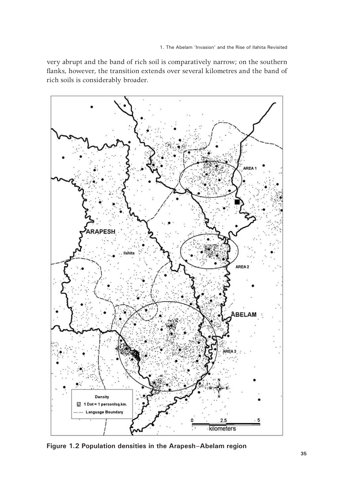very abrupt and the band of rich soil is comparatively narrow; on the southern flanks, however, the transition extends over several kilometres and the band of rich soils is considerably broader.



**Figure 1.2 Population densities in the Arapesh–Abelam region**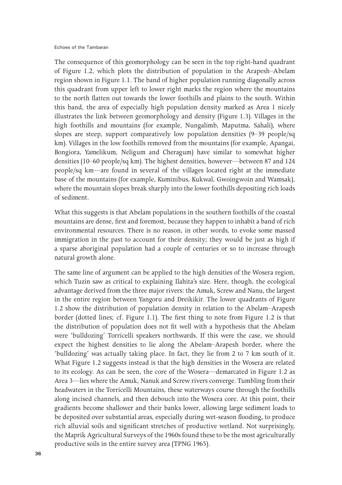Echoes of the Tambaran

The consequence of this geomorphology can be seen in the top right-hand quadrant of Figure 1.2, which plots the distribution of population in the Arapesh–Abelam region shown in Figure 1.1. The band of higher population running diagonally across this quadrant from upper left to lower right marks the region where the mountains to the north flatten out towards the lower foothills and plains to the south. Within this band, the area of especially high population density marked as Area 1 nicely illustrates the link between geomorphology and density (Figure 1.3). Villages in the high foothills and mountains (for example, Nungalimb, Maputma, Sahali), where slopes are steep, support comparatively low population densities (9–39 people/sq km). Villages in the low foothills removed from the mountains (for example, Apangai, Bongiora, Yamelikum, Neligum and Cheragum) have similar to somewhat higher densities (10–60 people/sq km). The highest densities, however—between 87 and 124 people/sq km—are found in several of the villages located right at the immediate base of the mountains (for example, Kuminibus, Kukwal, Gwoingwoin and Wamsak), where the mountain slopes break sharply into the lower foothills depositing rich loads of sediment.

What this suggests is that Abelam populations in the southern foothills of the coastal mountains are dense, first and foremost, because they happen to inhabit a band of rich environmental resources. There is no reason, in other words, to evoke some massed immigration in the past to account for their density; they would be just as high if a sparse aboriginal population had a couple of centuries or so to increase through natural growth alone.

The same line of argument can be applied to the high densities of the Wosera region, which Tuzin saw as critical to explaining Ilahita's size. Here, though, the ecological advantage derived from the three major rivers: the Amuk, Screw and Nanu, the largest in the entire region between Yangoru and Dreikikir. The lower quadrants of Figure 1.2 show the distribution of population density in relation to the Abelam–Arapesh border (dotted lines; cf. Figure 1.1). The first thing to note from Figure 1.2 is that the distribution of population does not fit well with a hypothesis that the Abelam were 'bulldozing' Torricelli speakers northwards. If this were the case, we should expect the highest densities to lie along the Abelam–Arapesh border, where the 'bulldozing' was actually taking place. In fact, they lie from 2 to 7 km south of it. What Figure 1.2 suggests instead is that the high densities in the Wosera are related to its ecology. As can be seen, the core of the Wosera—demarcated in Figure 1.2 as Area 3—lies where the Amuk, Nanuk and Screw rivers converge. Tumbling from their headwaters in the Torricelli Mountains, these waterways course through the foothills along incised channels, and then debouch into the Wosera core. At this point, their gradients become shallower and their banks lower, allowing large sediment loads to be deposited over substantial areas, especially during wet-season flooding, to produce rich alluvial soils and significant stretches of productive wetland. Not surprisingly, the Maprik Agricultural Surveys of the 1960s found these to be the most agriculturally productive soils in the entire survey area (TPNG 1965).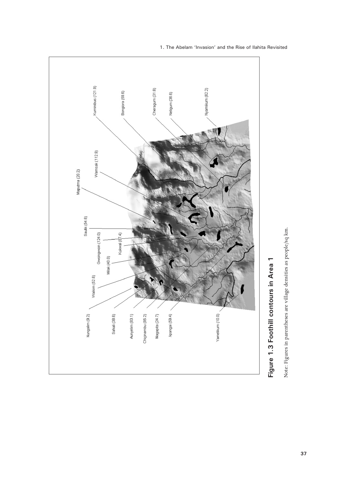

1. The Abelam 'Invasion' and the Rise of Ilahita Revisited

# Figure 1.3 Foothill contours in Area 1 **Figure 1.3 Foothill contours in Area 1**

Note: Figures in parentheses are village densities as people/sq km.

Note: Figures in parentheses are village densities as people/sq km.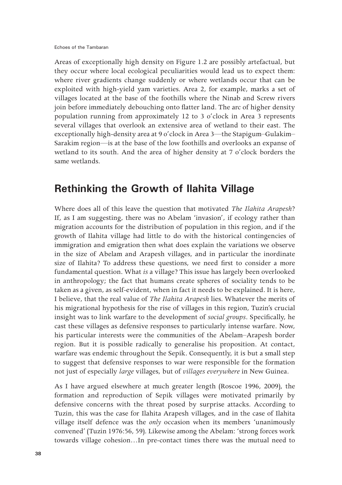Areas of exceptionally high density on Figure 1.2 are possibly artefactual, but they occur where local ecological peculiarities would lead us to expect them: where river gradients change suddenly or where wetlands occur that can be exploited with high-yield yam varieties. Area 2, for example, marks a set of villages located at the base of the foothills where the Ninab and Screw rivers join before immediately debouching onto flatter land. The arc of higher density population running from approximately 12 to 3 o'clock in Area 3 represents several villages that overlook an extensive area of wetland to their east. The exceptionally high-density area at 9 o'clock in Area 3—the Stapigum–Gulakim– Sarakim region—is at the base of the low foothills and overlooks an expanse of wetland to its south. And the area of higher density at 7 o'clock borders the same wetlands.

## **Rethinking the Growth of Ilahita Village**

Where does all of this leave the question that motivated *The Ilahita Arapesh*? If, as I am suggesting, there was no Abelam 'invasion', if ecology rather than migration accounts for the distribution of population in this region, and if the growth of Ilahita village had little to do with the historical contingencies of immigration and emigration then what does explain the variations we observe in the size of Abelam and Arapesh villages, and in particular the inordinate size of Ilahita? To address these questions, we need first to consider a more fundamental question. What *is* a village? This issue has largely been overlooked in anthropology; the fact that humans create spheres of sociality tends to be taken as a given, as self-evident, when in fact it needs to be explained. It is here, I believe, that the real value of *The Ilahita Arapesh* lies. Whatever the merits of his migrational hypothesis for the rise of villages in this region, Tuzin's crucial insight was to link warfare to the development of *social groups*. Specifically, he cast these villages as defensive responses to particularly intense warfare. Now, his particular interests were the communities of the Abelam–Arapesh border region. But it is possible radically to generalise his proposition. At contact, warfare was endemic throughout the Sepik. Consequently, it is but a small step to suggest that defensive responses to war were responsible for the formation not just of especially *large* villages, but of *villages everywhere* in New Guinea.

As I have argued elsewhere at much greater length (Roscoe 1996, 2009), the formation and reproduction of Sepik villages were motivated primarily by defensive concerns with the threat posed by surprise attacks. According to Tuzin, this was the case for Ilahita Arapesh villages, and in the case of Ilahita village itself defence was the *only* occasion when its members 'unanimously convened' (Tuzin 1976:56, 59). Likewise among the Abelam: 'strong forces work towards village cohesion…In pre-contact times there was the mutual need to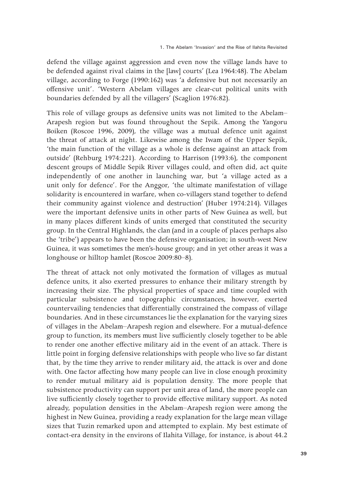defend the village against aggression and even now the village lands have to be defended against rival claims in the [law] courts' (Lea 1964:48). The Abelam village, according to Forge (1990:162) was 'a defensive but not necessarily an offensive unit'. 'Western Abelam villages are clear-cut political units with boundaries defended by all the villagers' (Scaglion 1976:82).

This role of village groups as defensive units was not limited to the Abelam– Arapesh region but was found throughout the Sepik. Among the Yangoru Boiken (Roscoe 1996, 2009), the village was a mutual defence unit against the threat of attack at night. Likewise among the Iwam of the Upper Sepik, 'the main function of the village as a whole is defense against an attack from outside' (Rehburg 1974:221). According to Harrison (1993:6), the component descent groups of Middle Sepik River villages could, and often did, act quite independently of one another in launching war, but 'a village acted as a unit only for defence'. For the Anggor, 'the ultimate manifestation of village solidarity is encountered in warfare, when co-villagers stand together to defend their community against violence and destruction' (Huber 1974:214). Villages were the important defensive units in other parts of New Guinea as well, but in many places different kinds of units emerged that constituted the security group. In the Central Highlands, the clan (and in a couple of places perhaps also the 'tribe') appears to have been the defensive organisation; in south-west New Guinea, it was sometimes the men's-house group; and in yet other areas it was a longhouse or hilltop hamlet (Roscoe 2009:80–8).

The threat of attack not only motivated the formation of villages as mutual defence units, it also exerted pressures to enhance their military strength by increasing their size. The physical properties of space and time coupled with particular subsistence and topographic circumstances, however, exerted countervailing tendencies that differentially constrained the compass of village boundaries. And in these circumstances lie the explanation for the varying sizes of villages in the Abelam–Arapesh region and elsewhere. For a mutual-defence group to function, its members must live sufficiently closely together to be able to render one another effective military aid in the event of an attack. There is little point in forging defensive relationships with people who live so far distant that, by the time they arrive to render military aid, the attack is over and done with. One factor affecting how many people can live in close enough proximity to render mutual military aid is population density. The more people that subsistence productivity can support per unit area of land, the more people can live sufficiently closely together to provide effective military support. As noted already, population densities in the Abelam–Arapesh region were among the highest in New Guinea, providing a ready explanation for the large mean village sizes that Tuzin remarked upon and attempted to explain. My best estimate of contact-era density in the environs of Ilahita Village, for instance, is about 44.2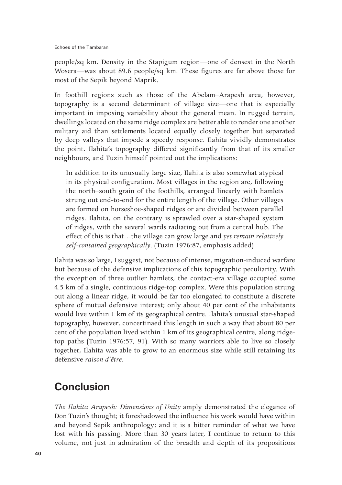people/sq km. Density in the Stapigum region—one of densest in the North Wosera—was about 89.6 people/sq km. These figures are far above those for most of the Sepik beyond Maprik.

In foothill regions such as those of the Abelam–Arapesh area, however, topography is a second determinant of village size—one that is especially important in imposing variability about the general mean. In rugged terrain, dwellings located on the same ridge complex are better able to render one another military aid than settlements located equally closely together but separated by deep valleys that impede a speedy response. Ilahita vividly demonstrates the point. Ilahita's topography differed significantly from that of its smaller neighbours, and Tuzin himself pointed out the implications:

In addition to its unusually large size, Ilahita is also somewhat atypical in its physical configuration. Most villages in the region are, following the north–south grain of the foothills, arranged linearly with hamlets strung out end-to-end for the entire length of the village. Other villages are formed on horseshoe-shaped ridges or are divided between parallel ridges. Ilahita, on the contrary is sprawled over a star-shaped system of ridges, with the several wards radiating out from a central hub. The effect of this is that…the village can grow large and *yet remain relatively self-contained geographically*. (Tuzin 1976:87, emphasis added)

Ilahita was so large, I suggest, not because of intense, migration-induced warfare but because of the defensive implications of this topographic peculiarity. With the exception of three outlier hamlets, the contact-era village occupied some 4.5 km of a single, continuous ridge-top complex. Were this population strung out along a linear ridge, it would be far too elongated to constitute a discrete sphere of mutual defensive interest; only about 40 per cent of the inhabitants would live within 1 km of its geographical centre. Ilahita's unusual star-shaped topography, however, concertinaed this length in such a way that about 80 per cent of the population lived within 1 km of its geographical centre, along ridgetop paths (Tuzin 1976:57, 91). With so many warriors able to live so closely together, Ilahita was able to grow to an enormous size while still retaining its defensive *raison d'être*.

## **Conclusion**

*The Ilahita Arapesh: Dimensions of Unity* amply demonstrated the elegance of Don Tuzin's thought; it foreshadowed the influence his work would have within and beyond Sepik anthropology; and it is a bitter reminder of what we have lost with his passing. More than 30 years later, I continue to return to this volume, not just in admiration of the breadth and depth of its propositions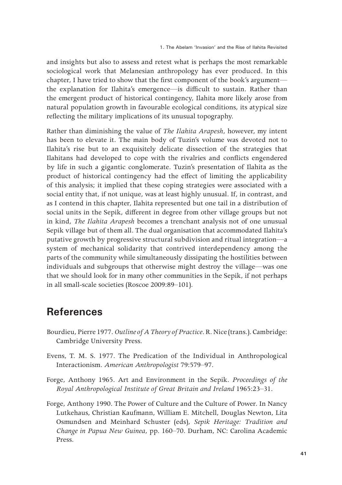and insights but also to assess and retest what is perhaps the most remarkable sociological work that Melanesian anthropology has ever produced. In this chapter, I have tried to show that the first component of the book's argument the explanation for Ilahita's emergence—is difficult to sustain. Rather than the emergent product of historical contingency, Ilahita more likely arose from natural population growth in favourable ecological conditions, its atypical size reflecting the military implications of its unusual topography.

Rather than diminishing the value of *The Ilahita Arapesh*, however, my intent has been to elevate it. The main body of Tuzin's volume was devoted not to Ilahita's rise but to an exquisitely delicate dissection of the strategies that Ilahitans had developed to cope with the rivalries and conflicts engendered by life in such a gigantic conglomerate. Tuzin's presentation of Ilahita as the product of historical contingency had the effect of limiting the applicability of this analysis; it implied that these coping strategies were associated with a social entity that, if not unique, was at least highly unusual. If, in contrast, and as I contend in this chapter, Ilahita represented but one tail in a distribution of social units in the Sepik, different in degree from other village groups but not in kind, *The Ilahita Arapesh* becomes a trenchant analysis not of one unusual Sepik village but of them all. The dual organisation that accommodated Ilahita's putative growth by progressive structural subdivision and ritual integration—a system of mechanical solidarity that contrived interdependency among the parts of the community while simultaneously dissipating the hostilities between individuals and subgroups that otherwise might destroy the village—was one that we should look for in many other communities in the Sepik, if not perhaps in all small-scale societies (Roscoe 2009:89–101).

### **References**

- Bourdieu, Pierre 1977. *Outline of A Theory of Practice*. R. Nice (trans.). Cambridge: Cambridge University Press.
- Evens, T. M. S. 1977. The Predication of the Individual in Anthropological Interactionism. *American Anthropologist* 79:579–97.
- Forge, Anthony 1965. Art and Environment in the Sepik. *Proceedings of the Royal Anthropological Institute of Great Britain and Ireland* 1965:23–31.
- Forge, Anthony 1990. The Power of Culture and the Culture of Power. In Nancy Lutkehaus, Christian Kaufmann, William E. Mitchell, Douglas Newton, Lita Osmundsen and Meinhard Schuster (eds), *Sepik Heritage: Tradition and Change in Papua New Guinea*, pp. 160–70. Durham, NC: Carolina Academic Press.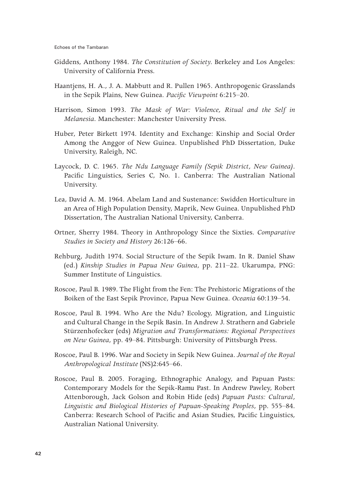- Giddens, Anthony 1984. *The Constitution of Society.* Berkeley and Los Angeles: University of California Press.
- Haantjens, H. A., J. A. Mabbutt and R. Pullen 1965. Anthropogenic Grasslands in the Sepik Plains, New Guinea. *Pacific Viewpoint* 6:215–20.
- Harrison, Simon 1993. *The Mask of War: Violence, Ritual and the Self in Melanesia*. Manchester: Manchester University Press.
- Huber, Peter Birkett 1974. Identity and Exchange: Kinship and Social Order Among the Anggor of New Guinea. Unpublished PhD Dissertation, Duke University, Raleigh, NC.
- Laycock, D. C. 1965. *The Ndu Language Family (Sepik District, New Guinea)*. Pacific Linguistics, Series C, No. 1. Canberra: The Australian National University.
- Lea, David A. M. 1964. Abelam Land and Sustenance: Swidden Horticulture in an Area of High Population Density, Maprik, New Guinea. Unpublished PhD Dissertation, The Australian National University, Canberra.
- Ortner, Sherry 1984. Theory in Anthropology Since the Sixties. *Comparative Studies in Society and History* 26:126–66.
- Rehburg, Judith 1974. Social Structure of the Sepik Iwam. In R. Daniel Shaw (ed.) *Kinship Studies in Papua New Guinea*, pp. 211–22. Ukarumpa, PNG: Summer Institute of Linguistics.
- Roscoe, Paul B. 1989. The Flight from the Fen: The Prehistoric Migrations of the Boiken of the East Sepik Province, Papua New Guinea. *Oceania* 60:139–54.
- Roscoe, Paul B. 1994. Who Are the Ndu? Ecology, Migration, and Linguistic and Cultural Change in the Sepik Basin. In Andrew J. Strathern and Gabriele Stürzenhofecker (eds) *Migration and Transformations: Regional Perspectives on New Guinea*, pp. 49–84. Pittsburgh: University of Pittsburgh Press.
- Roscoe, Paul B. 1996. War and Society in Sepik New Guinea. *Journal of the Royal Anthropological Institute* (NS)2:645–66.
- Roscoe, Paul B. 2005. Foraging, Ethnographic Analogy, and Papuan Pasts: Contemporary Models for the Sepik-Ramu Past. In Andrew Pawley, Robert Attenborough, Jack Golson and Robin Hide (eds) *Papuan Pasts: Cultural, Linguistic and Biological Histories of Papuan-Speaking Peoples*, pp. 555–84. Canberra: Research School of Pacific and Asian Studies, Pacific Linguistics, Australian National University.